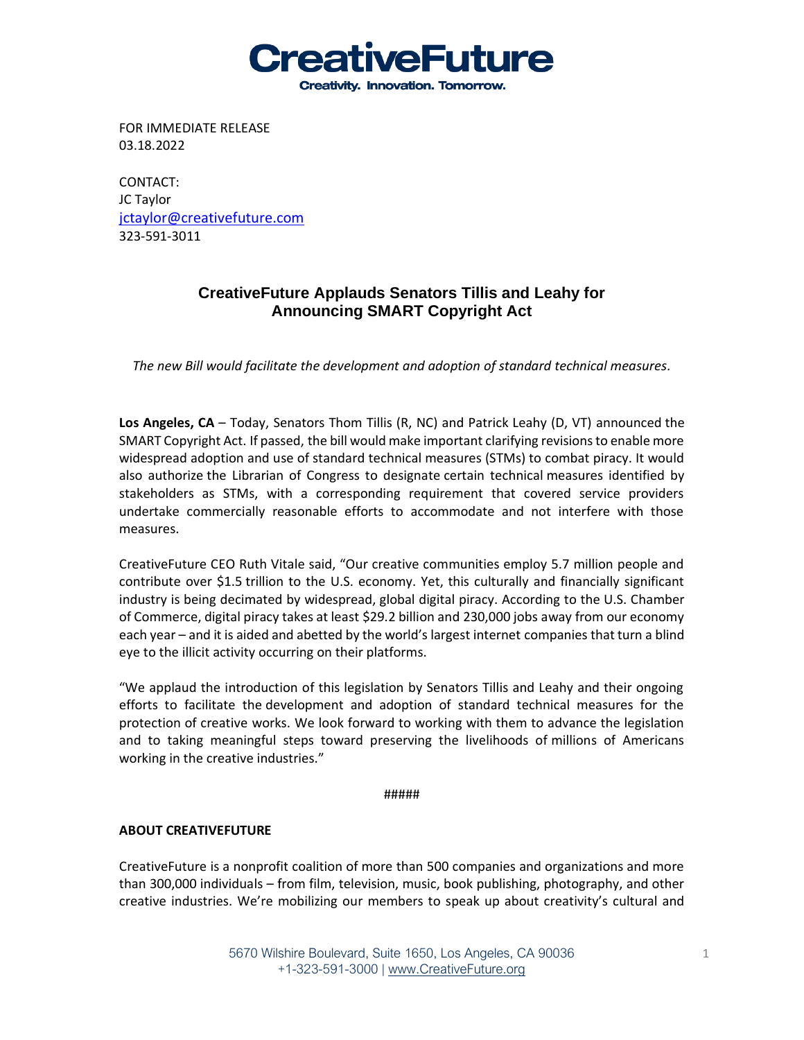**CreativeFuture Creativity. Innovation. Tomorrow.** 

FOR IMMEDIATE RELEASE 03.18.2022

CONTACT: JC Taylor [jctaylor@creativefuture.com](mailto:jctaylor@creativefuture.com) 323-591-3011

## **CreativeFuture Applauds Senators Tillis and Leahy for Announcing SMART Copyright Act**

*The new Bill would facilitate the development and adoption of standard technical measures.*

**Los Angeles, CA** – Today, Senators Thom Tillis (R, NC) and Patrick Leahy (D, VT) announced the SMART Copyright Act. If passed, the bill would make important clarifying revisions to enable more widespread adoption and use of standard technical measures (STMs) to combat piracy. It would also authorize the Librarian of Congress to designate certain technical measures identified by stakeholders as STMs, with a corresponding requirement that covered service providers undertake commercially reasonable efforts to accommodate and not interfere with those measures.

CreativeFuture CEO Ruth Vitale said, "Our creative communities employ 5.7 million people and contribute over \$1.5 trillion to the U.S. economy. Yet, this culturally and financially significant industry is being decimated by widespread, global digital piracy. According to the U.S. Chamber of Commerce, digital piracy takes at least \$29.2 billion and 230,000 jobs away from our economy each year – and it is aided and abetted by the world's largest internet companies that turn a blind eye to the illicit activity occurring on their platforms.

"We applaud the introduction of this legislation by Senators Tillis and Leahy and their ongoing efforts to facilitate the development and adoption of standard technical measures for the protection of creative works. We look forward to working with them to advance the legislation and to taking meaningful steps toward preserving the livelihoods of millions of Americans working in the creative industries."

## #####

## **ABOUT CREATIVEFUTURE**

CreativeFuture is a nonprofit coalition of more than 500 companies and organizations and more than 300,000 individuals – from film, television, music, book publishing, photography, and other creative industries. We're mobilizing our members to speak up about creativity's cultural and